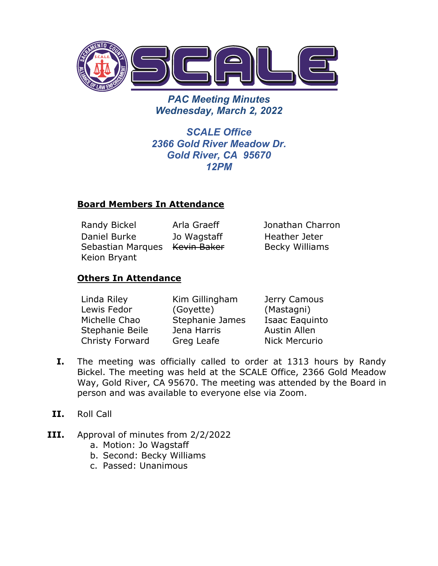

*PAC Meeting Minutes Wednesday, March 2, 2022*

*SCALE Office 2366 Gold River Meadow Dr. Gold River, CA 95670 12PM*

## **Board Members In Attendance**

Randy Bickel Arla Graeff Jonathan Charron Daniel Burke Sebastian Marques Kevin Baker Keion Bryant Jo Wagstaff

Heather Jeter Becky Williams

# **Others In Attendance**

| Linda Riley     | Kim Gillingham  | Jerry Camous         |
|-----------------|-----------------|----------------------|
| Lewis Fedor     | (Goyette)       | (Mastagni)           |
| Michelle Chao   | Stephanie James | Isaac Eaquinto       |
| Stephanie Beile | Jena Harris     | <b>Austin Allen</b>  |
| Christy Forward | Greg Leafe      | <b>Nick Mercurio</b> |

- **I.** The meeting was officially called to order at 1313 hours by Randy Bickel. The meeting was held at the SCALE Office, 2366 Gold Meadow Way, Gold River, CA 95670. The meeting was attended by the Board in person and was available to everyone else via Zoom.
- **II.** Roll Call
- **III.** Approval of minutes from 2/2/2022
	- a. Motion: Jo Wagstaff
	- b. Second: Becky Williams
	- c. Passed: Unanimous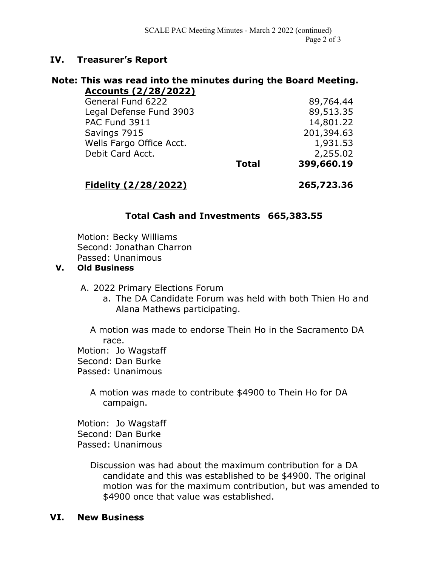## **IV. Treasurer's Report**

#### **Note: This was read into the minutes during the Board Meeting. Accounts (2/28/2022)**

|                         | 399,660.19   |
|-------------------------|--------------|
|                         | 2,255.02     |
|                         | 1,931.53     |
|                         | 201,394.63   |
|                         | 14,801.22    |
| Legal Defense Fund 3903 |              |
|                         | 89,764.44    |
|                         | <b>Total</b> |

**Fidelity (2/28/2022) 265,723.36**

# **Total Cash and Investments 665,383.55**

Motion: Becky Williams Second: Jonathan Charron Passed: Unanimous

#### **V. Old Business**

A. 2022 Primary Elections Forum

a. The DA Candidate Forum was held with both Thien Ho and Alana Mathews participating.

A motion was made to endorse Thein Ho in the Sacramento DA race.

Motion: Jo Wagstaff

Second: Dan Burke

Passed: Unanimous

A motion was made to contribute \$4900 to Thein Ho for DA campaign.

Motion: Jo Wagstaff Second: Dan Burke Passed: Unanimous

> Discussion was had about the maximum contribution for a DA candidate and this was established to be \$4900. The original motion was for the maximum contribution, but was amended to \$4900 once that value was established.

### **VI. New Business**